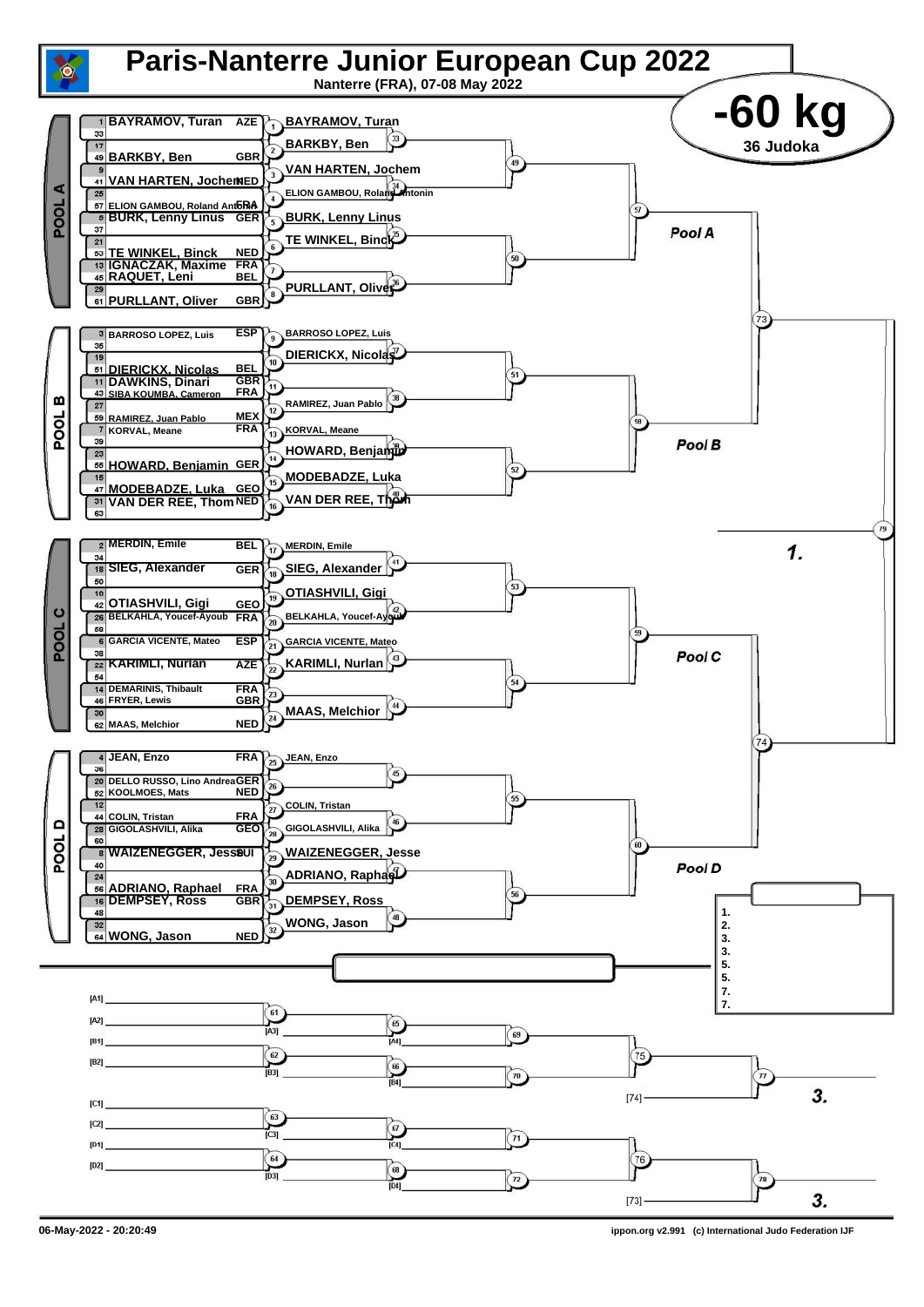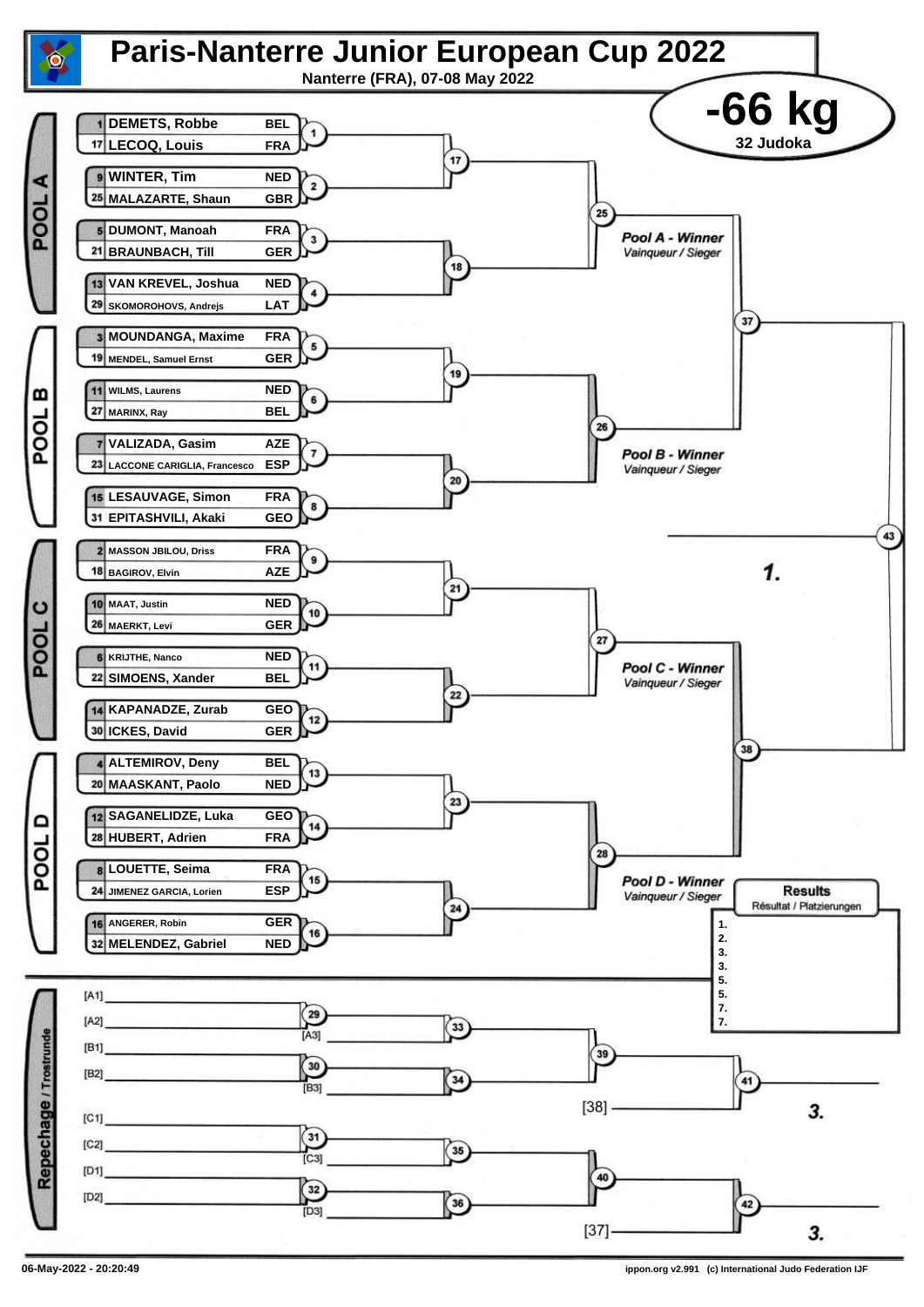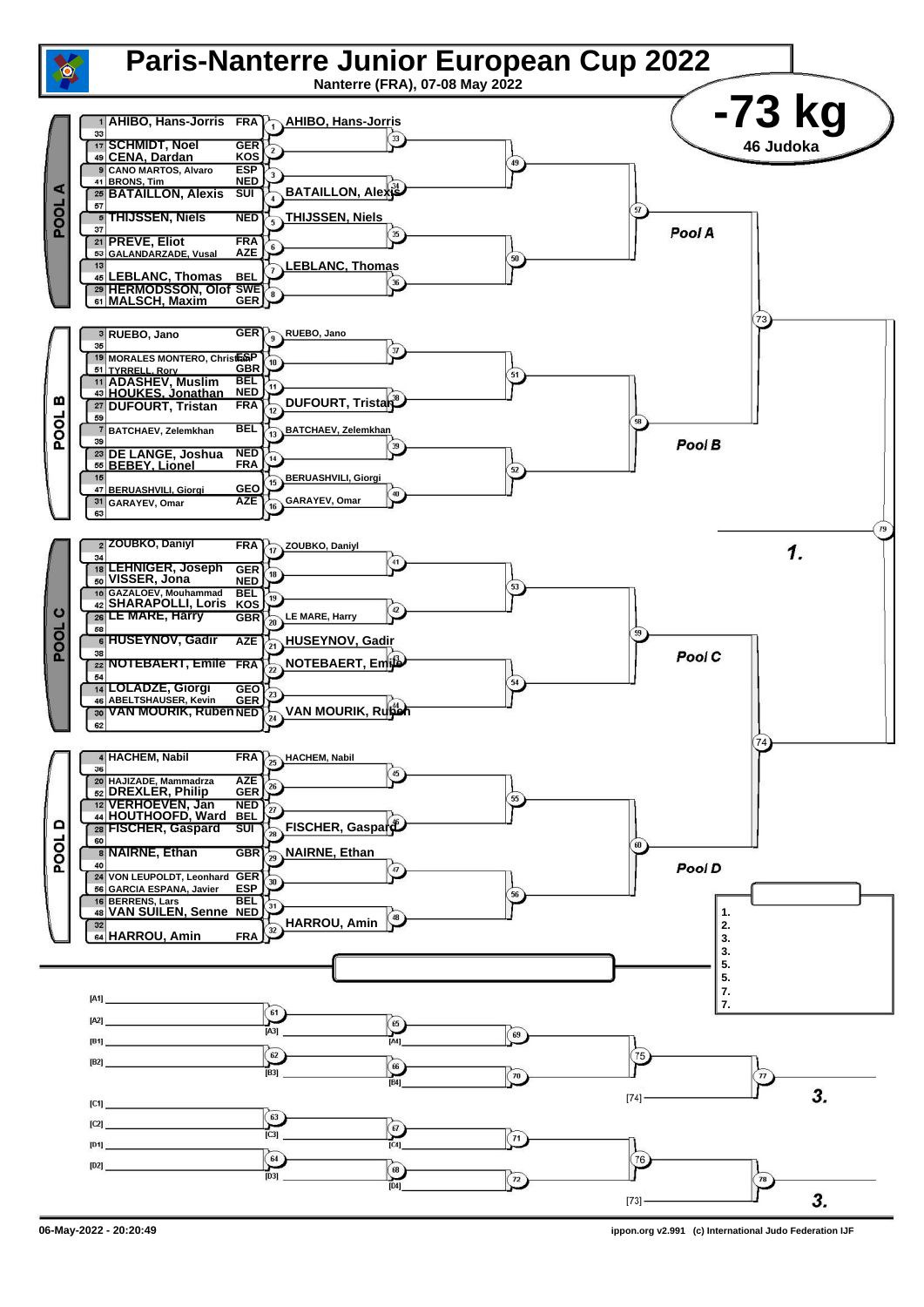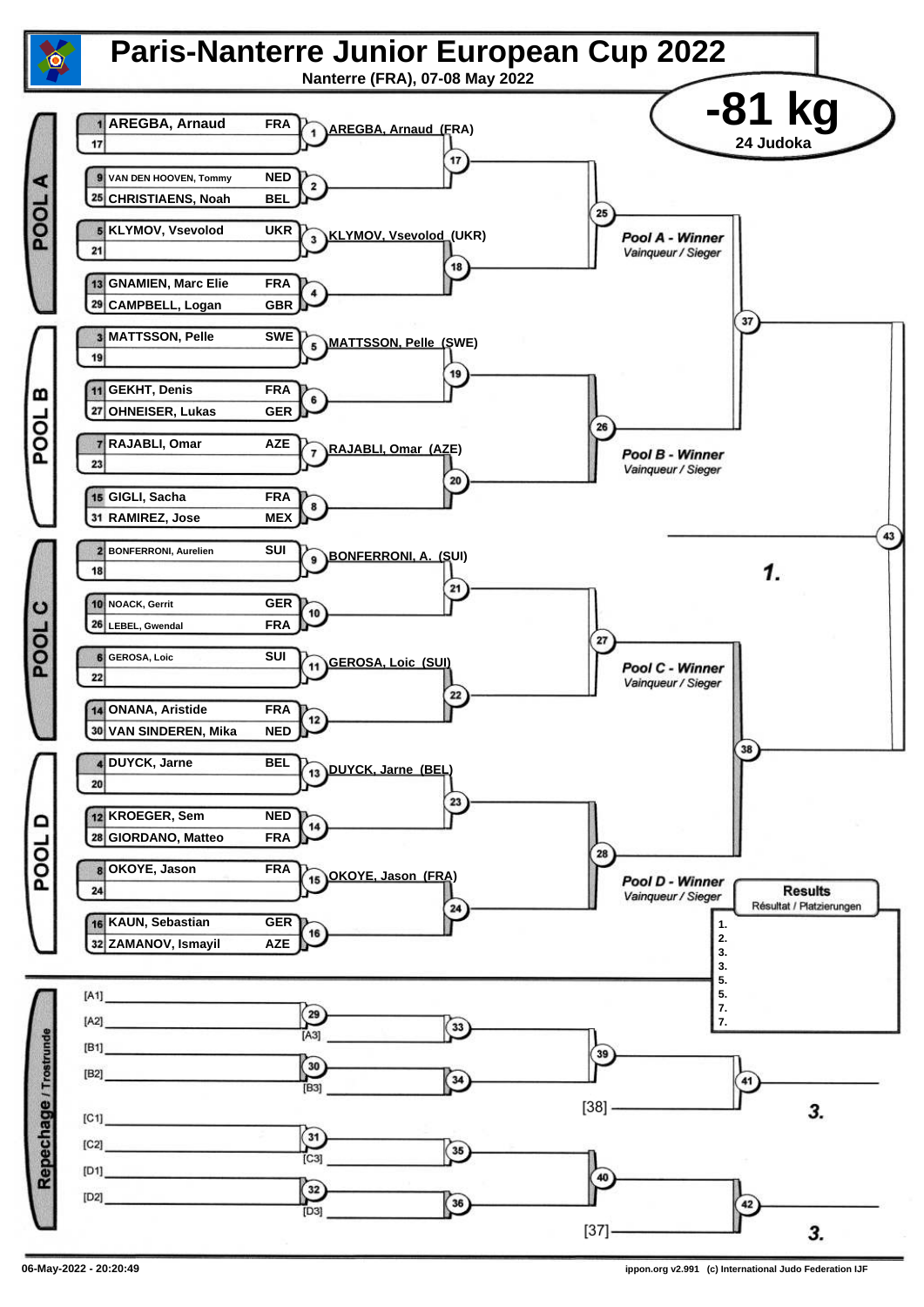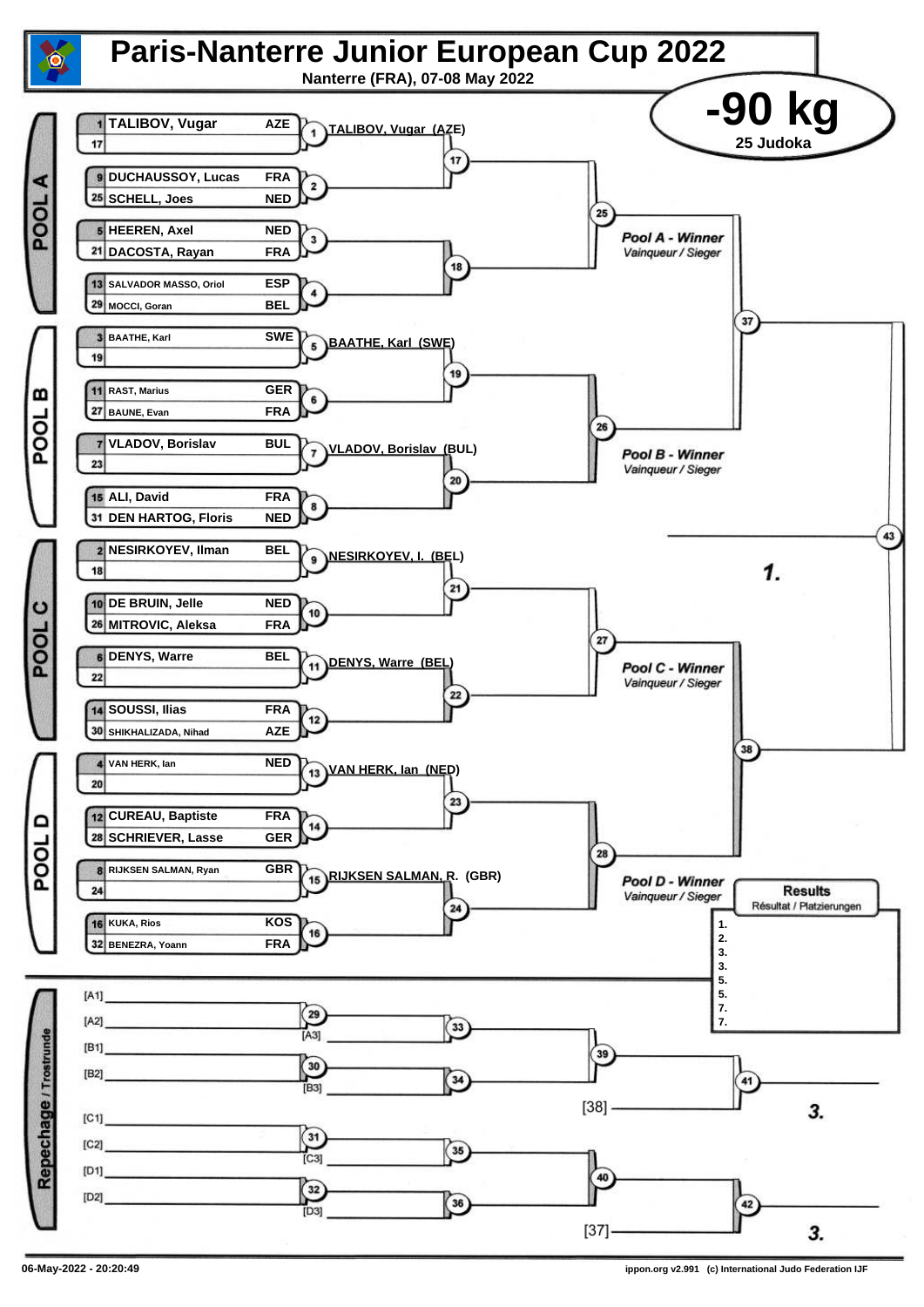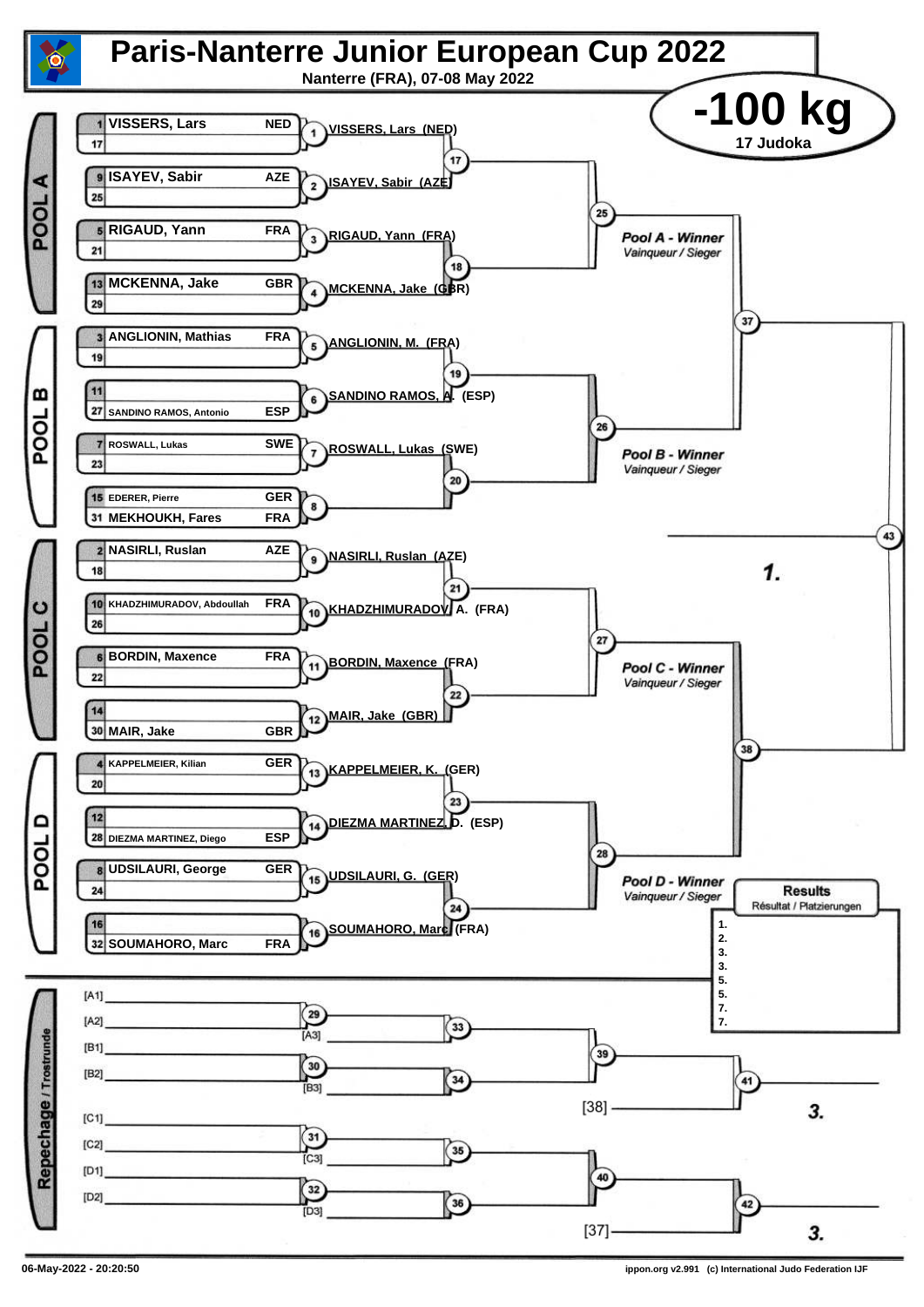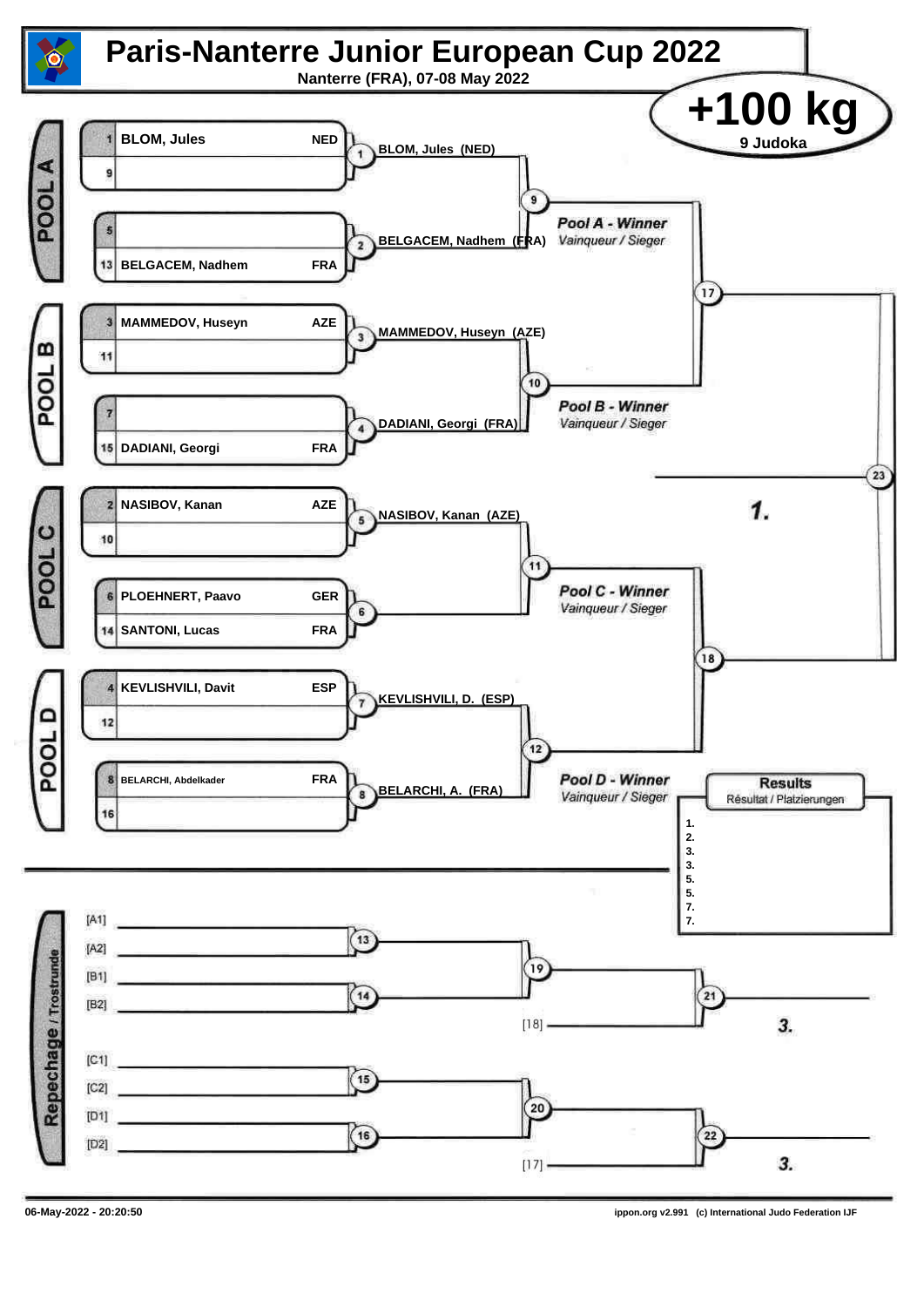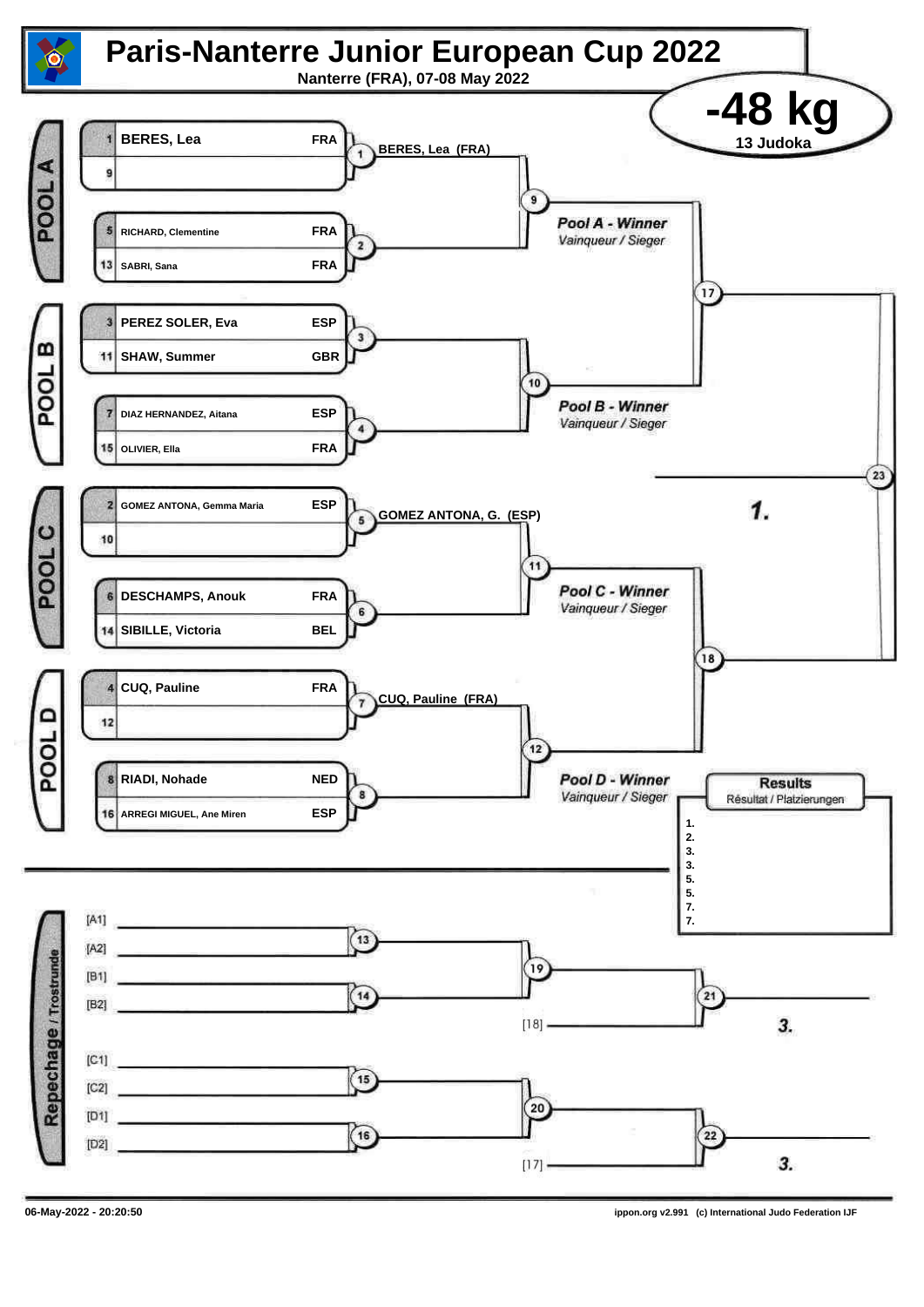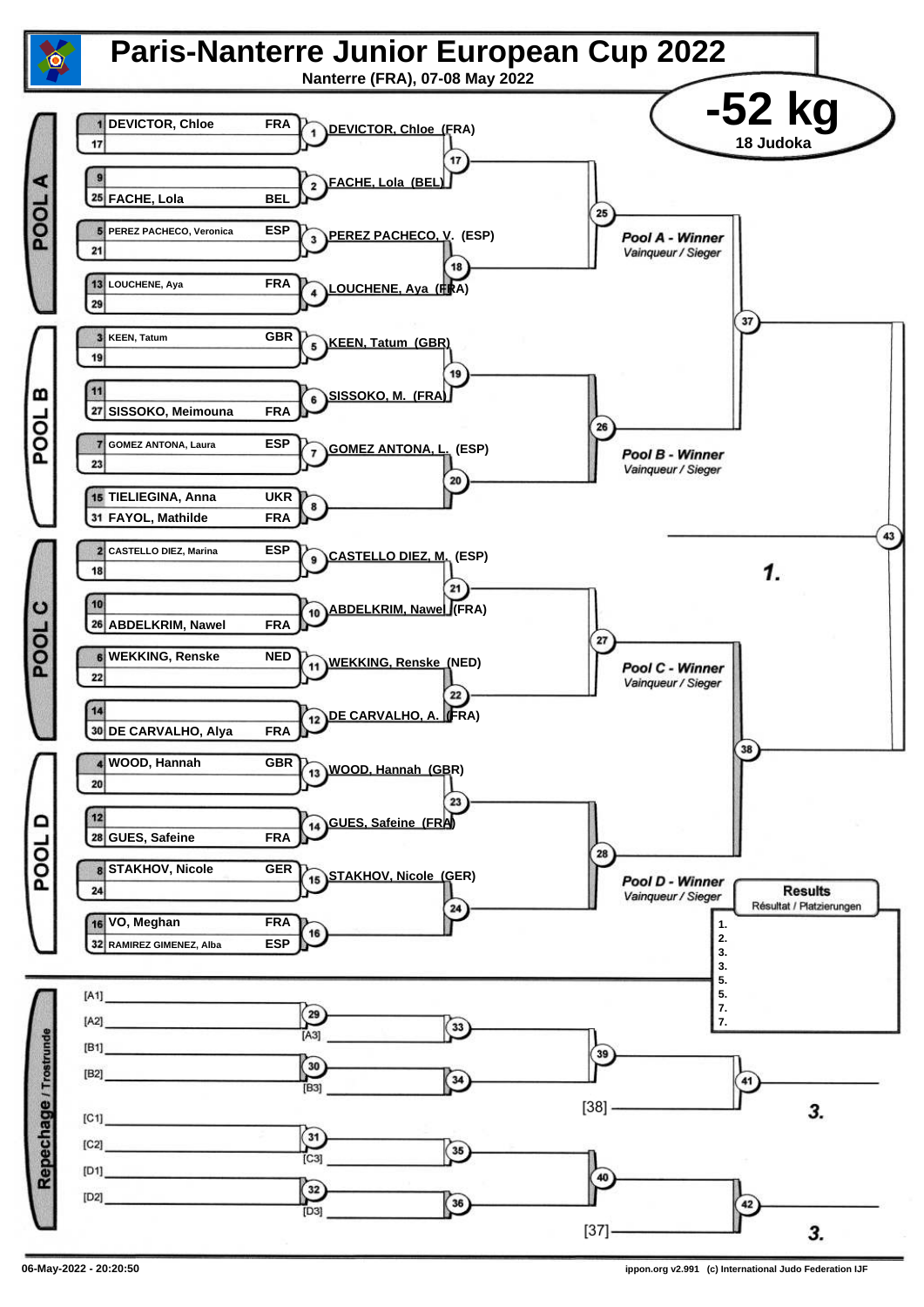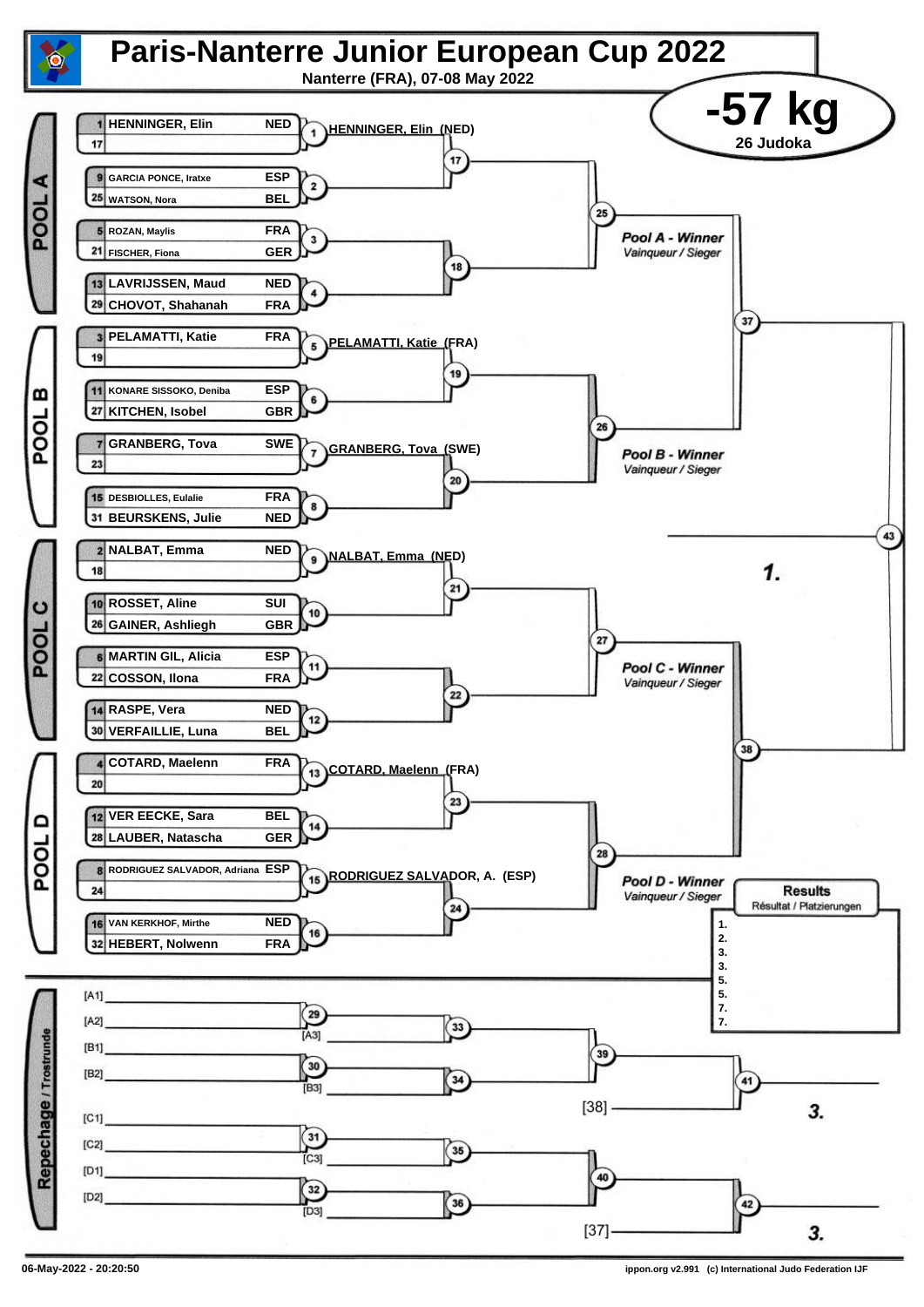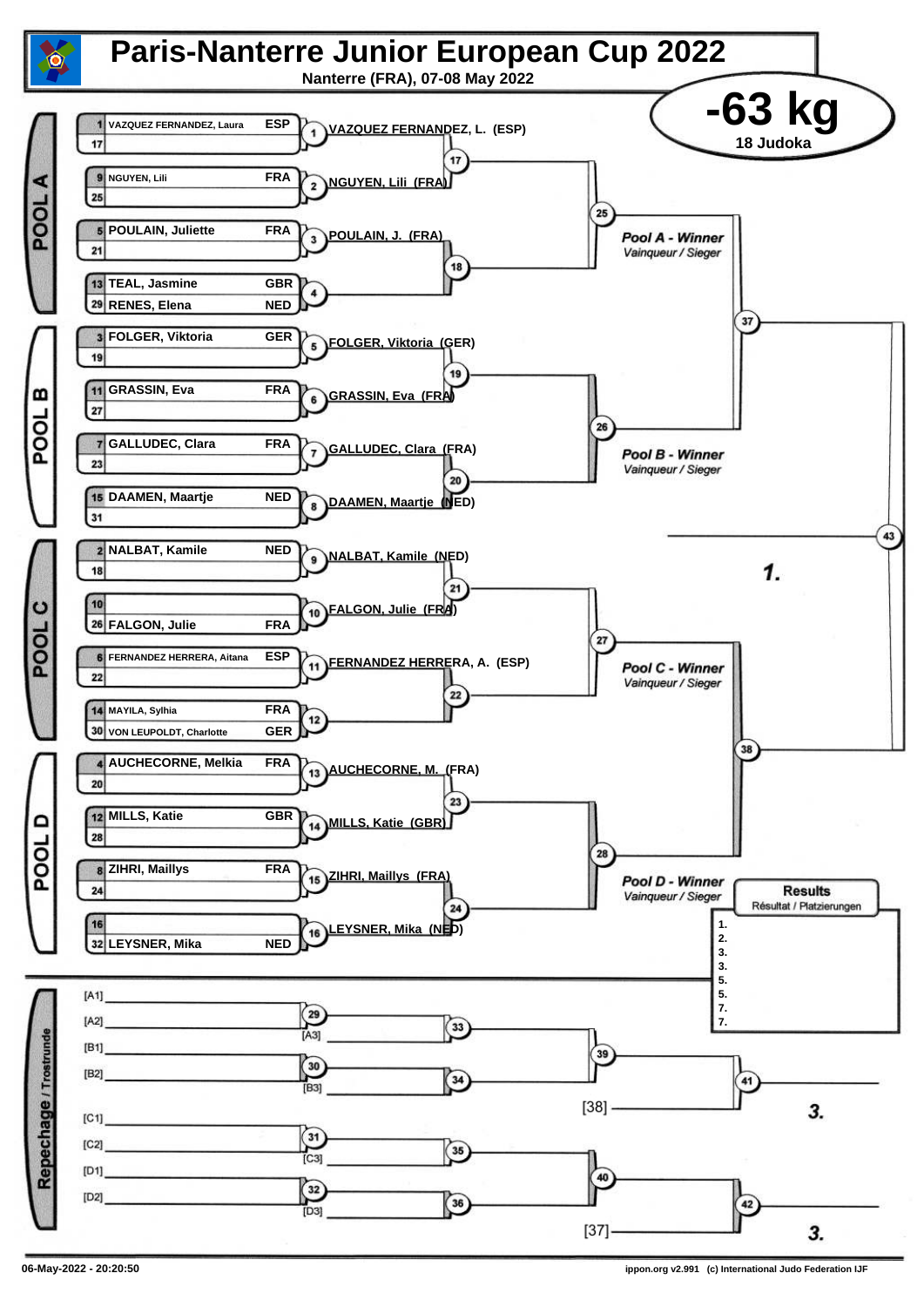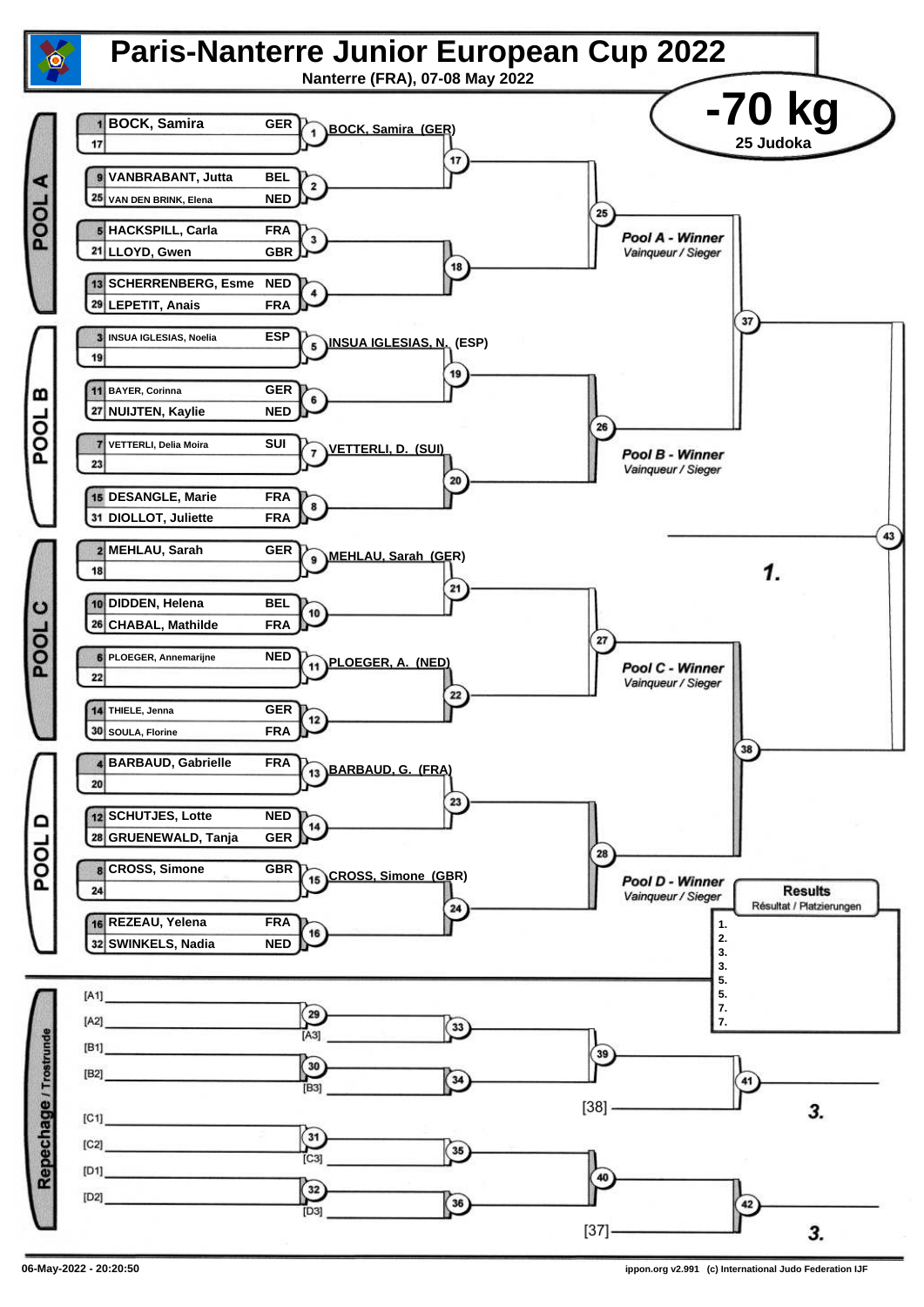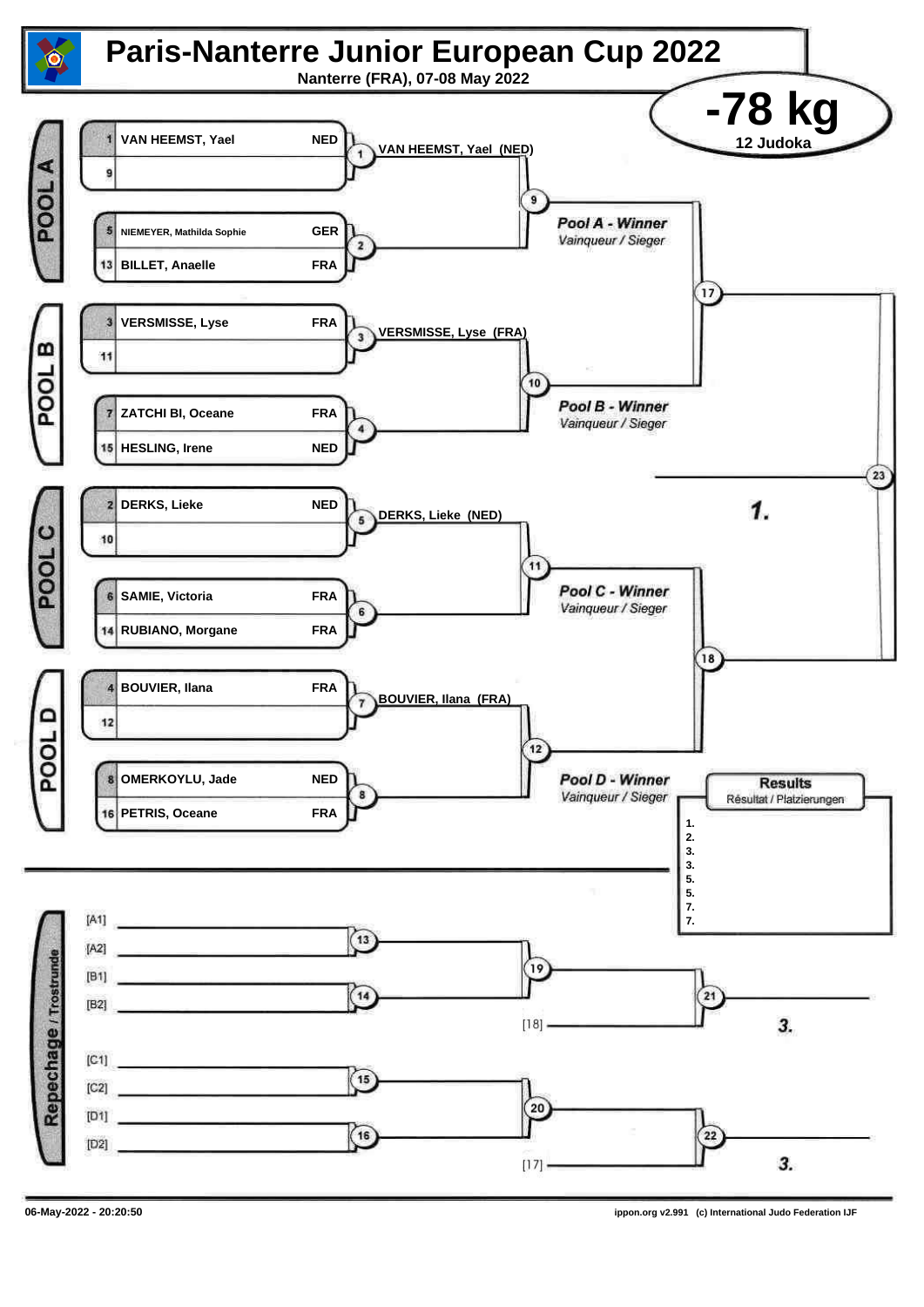